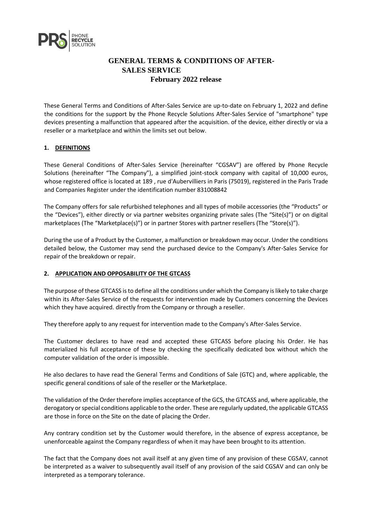

# **GENERAL TERMS & CONDITIONS OF AFTER-SALES SERVICE February 2022 release**

These General Terms and Conditions of After-Sales Service are up-to-date on February 1, 2022 and define the conditions for the support by the Phone Recycle Solutions After-Sales Service of "smartphone" type devices presenting a malfunction that appeared after the acquisition. of the device, either directly or via a reseller or a marketplace and within the limits set out below.

## **1. DEFINITIONS**

These General Conditions of After-Sales Service (hereinafter "CGSAV") are offered by Phone Recycle Solutions (hereinafter "The Company"), a simplified joint-stock company with capital of 10,000 euros, whose registered office is located at 189 , rue d'Aubervilliers in Paris (75019), registered in the Paris Trade and Companies Register under the identification number 831008842

The Company offers for sale refurbished telephones and all types of mobile accessories (the "Products" or the "Devices"), either directly or via partner websites organizing private sales (The "Site(s)") or on digital marketplaces (The "Marketplace(s)") or in partner Stores with partner resellers (The "Store(s)").

During the use of a Product by the Customer, a malfunction or breakdown may occur. Under the conditions detailed below, the Customer may send the purchased device to the Company's After-Sales Service for repair of the breakdown or repair.

### **2. APPLICATION AND OPPOSABILITY OF THE GTCASS**

The purpose of these GTCASS is to define all the conditions under which the Company is likely to take charge within its After-Sales Service of the requests for intervention made by Customers concerning the Devices which they have acquired. directly from the Company or through a reseller.

They therefore apply to any request for intervention made to the Company's After-Sales Service.

The Customer declares to have read and accepted these GTCASS before placing his Order. He has materialized his full acceptance of these by checking the specifically dedicated box without which the computer validation of the order is impossible.

He also declares to have read the General Terms and Conditions of Sale (GTC) and, where applicable, the specific general conditions of sale of the reseller or the Marketplace.

The validation of the Order therefore implies acceptance of the GCS, the GTCASS and, where applicable, the derogatory or special conditions applicable to the order. These are regularly updated, the applicable GTCASS are those in force on the Site on the date of placing the Order.

Any contrary condition set by the Customer would therefore, in the absence of express acceptance, be unenforceable against the Company regardless of when it may have been brought to its attention.

The fact that the Company does not avail itself at any given time of any provision of these CGSAV, cannot be interpreted as a waiver to subsequently avail itself of any provision of the said CGSAV and can only be interpreted as a temporary tolerance.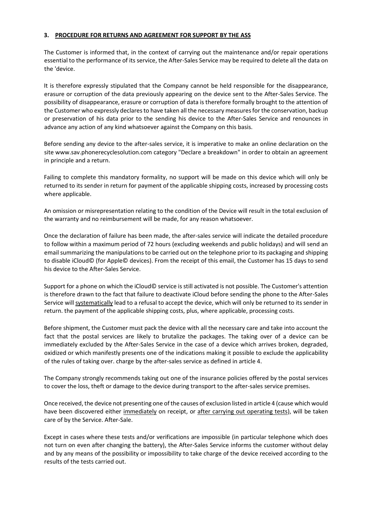### **3. PROCEDURE FOR RETURNS AND AGREEMENT FOR SUPPORT BY THE ASS**

The Customer is informed that, in the context of carrying out the maintenance and/or repair operations essential to the performance of its service, the After-Sales Service may be required to delete all the data on the 'device.

It is therefore expressly stipulated that the Company cannot be held responsible for the disappearance, erasure or corruption of the data previously appearing on the device sent to the After-Sales Service. The possibility of disappearance, erasure or corruption of data is therefore formally brought to the attention of the Customer who expressly declares to have taken all the necessary measures for the conservation, backup or preservation of his data prior to the sending his device to the After-Sales Service and renounces in advance any action of any kind whatsoever against the Company on this basis.

Before sending any device to the after-sales service, it is imperative to make an online declaration on the site www.sav.phonerecyclesolution.com category "Declare a breakdown" in order to obtain an agreement in principle and a return.

Failing to complete this mandatory formality, no support will be made on this device which will only be returned to its sender in return for payment of the applicable shipping costs, increased by processing costs where applicable.

An omission or misrepresentation relating to the condition of the Device will result in the total exclusion of the warranty and no reimbursement will be made, for any reason whatsoever.

Once the declaration of failure has been made, the after-sales service will indicate the detailed procedure to follow within a maximum period of 72 hours (excluding weekends and public holidays) and will send an email summarizing the manipulations to be carried out on the telephone prior to its packaging and shipping to disable iCloud© (for Apple© devices). From the receipt of this email, the Customer has 15 days to send his device to the After-Sales Service.

Support for a phone on which the iCloud© service is still activated is not possible. The Customer's attention is therefore drawn to the fact that failure to deactivate iCloud before sending the phone to the After-Sales Service will systematically lead to a refusal to accept the device, which will only be returned to its sender in return. the payment of the applicable shipping costs, plus, where applicable, processing costs.

Before shipment, the Customer must pack the device with all the necessary care and take into account the fact that the postal services are likely to brutalize the packages. The taking over of a device can be immediately excluded by the After-Sales Service in the case of a device which arrives broken, degraded, oxidized or which manifestly presents one of the indications making it possible to exclude the applicability of the rules of taking over. charge by the after-sales service as defined in article 4.

The Company strongly recommends taking out one of the insurance policies offered by the postal services to cover the loss, theft or damage to the device during transport to the after-sales service premises.

Once received, the device not presenting one of the causes of exclusion listed in article 4 (cause which would have been discovered either immediately on receipt, or after carrying out operating tests), will be taken care of by the Service. After-Sale.

Except in cases where these tests and/or verifications are impossible (in particular telephone which does not turn on even after changing the battery), the After-Sales Service informs the customer without delay and by any means of the possibility or impossibility to take charge of the device received according to the results of the tests carried out.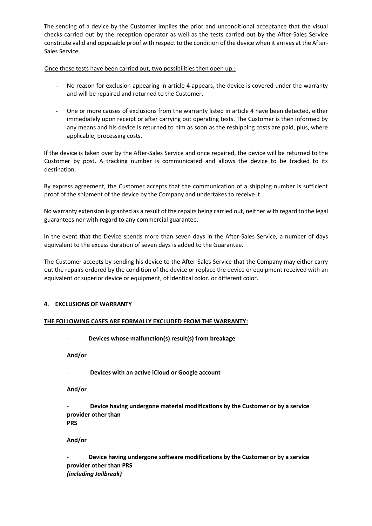The sending of a device by the Customer implies the prior and unconditional acceptance that the visual checks carried out by the reception operator as well as the tests carried out by the After-Sales Service constitute valid and opposable proof with respect to the condition of the device when it arrives at the After-Sales Service.

Once these tests have been carried out, two possibilities then open up.:

- No reason for exclusion appearing in article 4 appears, the device is covered under the warranty and will be repaired and returned to the Customer.
- One or more causes of exclusions from the warranty listed in article 4 have been detected, either immediately upon receipt or after carrying out operating tests. The Customer is then informed by any means and his device is returned to him as soon as the reshipping costs are paid, plus, where applicable, processing costs.

If the device is taken over by the After-Sales Service and once repaired, the device will be returned to the Customer by post. A tracking number is communicated and allows the device to be tracked to its destination.

By express agreement, the Customer accepts that the communication of a shipping number is sufficient proof of the shipment of the device by the Company and undertakes to receive it.

No warranty extension is granted as a result of the repairs being carried out, neither with regard to the legal guarantees nor with regard to any commercial guarantee.

In the event that the Device spends more than seven days in the After-Sales Service, a number of days equivalent to the excess duration of seven days is added to the Guarantee.

The Customer accepts by sending his device to the After-Sales Service that the Company may either carry out the repairs ordered by the condition of the device or replace the device or equipment received with an equivalent or superior device or equipment, of identical color. or different color.

### **4. EXCLUSIONS OF WARRANTY**

### **THE FOLLOWING CASES ARE FORMALLY EXCLUDED FROM THE WARRANTY:**

- **Devices whose malfunction(s) result(s) from breakage**

**And/or**

Devices with an active iCloud or Google account

**And/or**

- **Device having undergone material modifications by the Customer or by a service provider other than PRS**

**And/or**

- **Device having undergone software modifications by the Customer or by a service provider other than PRS** *(including Jailbreak)*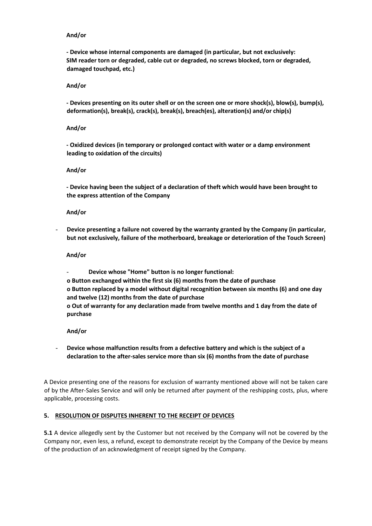#### **And/or**

**- Device whose internal components are damaged (in particular, but not exclusively: SIM reader torn or degraded, cable cut or degraded, no screws blocked, torn or degraded, damaged touchpad, etc.)**

#### **And/or**

**- Devices presenting on its outer shell or on the screen one or more shock(s), blow(s), bump(s), deformation(s), break(s), crack(s), break(s), breach(es), alteration(s) and/or chip(s)**

#### **And/or**

**- Oxidized devices (in temporary or prolonged contact with water or a damp environment leading to oxidation of the circuits)**

#### **And/or**

**- Device having been the subject of a declaration of theft which would have been brought to the express attention of the Company**

#### **And/or**

- **Device presenting a failure not covered by the warranty granted by the Company (in particular, but not exclusively, failure of the motherboard, breakage or deterioration of the Touch Screen)**

#### **And/or**

- **Device whose "Home" button is no longer functional: o Button exchanged within the first six (6) months from the date of purchase o Button replaced by a model without digital recognition between six months (6) and one day and twelve (12) months from the date of purchase o Out of warranty for any declaration made from twelve months and 1 day from the date of purchase**

#### **And/or**

- **Device whose malfunction results from a defective battery and which is the subject of a declaration to the after-sales service more than six (6) months from the date of purchase**

A Device presenting one of the reasons for exclusion of warranty mentioned above will not be taken care of by the After-Sales Service and will only be returned after payment of the reshipping costs, plus, where applicable, processing costs.

### **5. RESOLUTION OF DISPUTES INHERENT TO THE RECEIPT OF DEVICES**

**5.1** A device allegedly sent by the Customer but not received by the Company will not be covered by the Company nor, even less, a refund, except to demonstrate receipt by the Company of the Device by means of the production of an acknowledgment of receipt signed by the Company.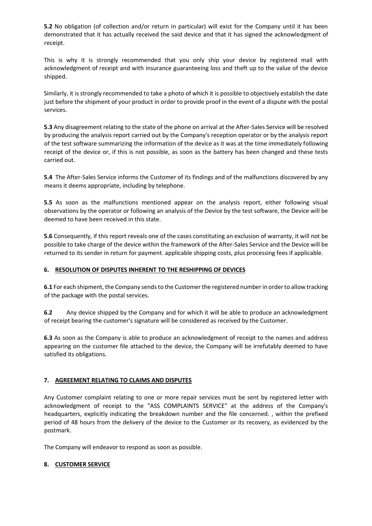**5.2** No obligation (of collection and/or return in particular) will exist for the Company until it has been demonstrated that it has actually received the said device and that it has signed the acknowledgment of receipt.

This is why it is strongly recommended that you only ship your device by registered mail with acknowledgment of receipt and with insurance guaranteeing loss and theft up to the value of the device shipped.

Similarly, it is strongly recommended to take a photo of which it is possible to objectively establish the date just before the shipment of your product in order to provide proof in the event of a dispute with the postal services.

**5.3** Any disagreement relating to the state of the phone on arrival at the After-Sales Service will be resolved by producing the analysis report carried out by the Company's reception operator or by the analysis report of the test software summarizing the information of the device as it was at the time immediately following receipt of the device or, if this is not possible, as soon as the battery has been changed and these tests carried out.

**5.4** The After-Sales Service informs the Customer of its findings and of the malfunctions discovered by any means it deems appropriate, including by telephone.

**5.5** As soon as the malfunctions mentioned appear on the analysis report, either following visual observations by the operator or following an analysis of the Device by the test software, the Device will be deemed to have been received in this state.

**5.6** Consequently, if this report reveals one of the cases constituting an exclusion of warranty, it will not be possible to take charge of the device within the framework of the After-Sales Service and the Device will be returned to its sender in return for payment. applicable shipping costs, plus processing fees if applicable.

### **6. RESOLUTION OF DISPUTES INHERENT TO THE RESHIPPING OF DEVICES**

**6.1** For each shipment, the Company sends to the Customer the registered number in order to allow tracking of the package with the postal services.

**6.2** Any device shipped by the Company and for which it will be able to produce an acknowledgment of receipt bearing the customer's signature will be considered as received by the Customer.

**6.3** As soon as the Company is able to produce an acknowledgment of receipt to the names and address appearing on the customer file attached to the device, the Company will be irrefutably deemed to have satisfied its obligations.

### **7. AGREEMENT RELATING TO CLAIMS AND DISPUTES**

Any Customer complaint relating to one or more repair services must be sent by registered letter with acknowledgment of receipt to the "ASS COMPLAINTS SERVICE" at the address of the Company's headquarters, explicitly indicating the breakdown number and the file concerned. , within the prefixed period of 48 hours from the delivery of the device to the Customer or its recovery, as evidenced by the postmark.

The Company will endeavor to respond as soon as possible.

# **8. CUSTOMER SERVICE**